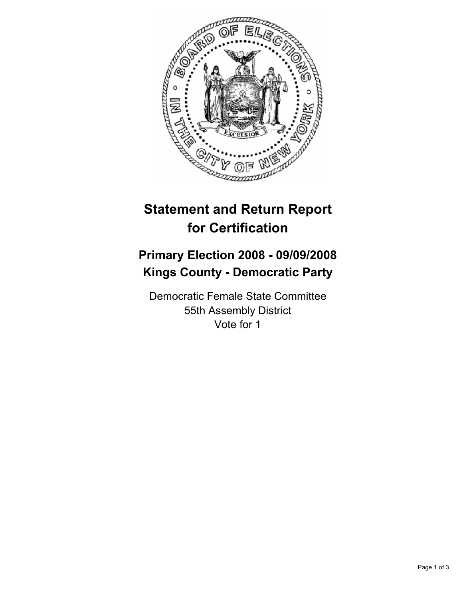

## **Statement and Return Report for Certification**

## **Primary Election 2008 - 09/09/2008 Kings County - Democratic Party**

Democratic Female State Committee 55th Assembly District Vote for 1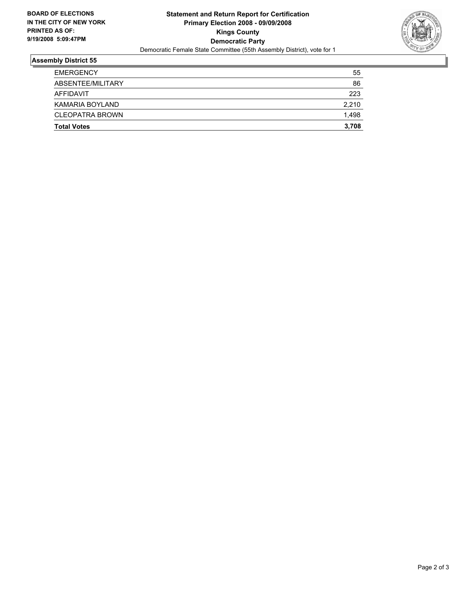

## **Assembly District 55**

| <b>Total Votes</b>     | 3,708 |
|------------------------|-------|
| <b>CLEOPATRA BROWN</b> | 1,498 |
| KAMARIA BOYLAND        | 2,210 |
| AFFIDAVIT              | 223   |
| ABSENTEE/MILITARY      | 86    |
| <b>EMERGENCY</b>       | 55    |